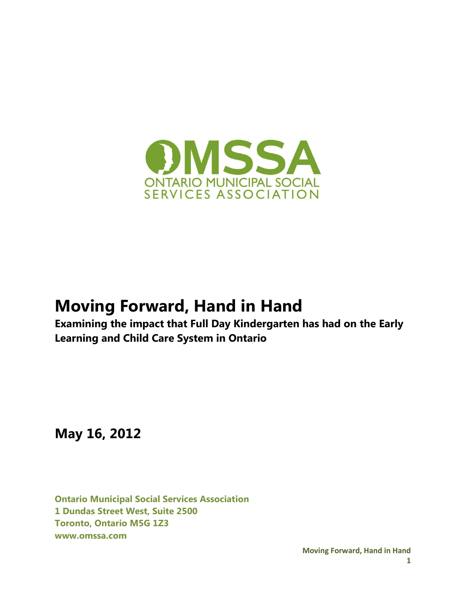

# **Moving Forward, Hand in Hand**

**Examining the impact that Full Day Kindergarten has had on the Early Learning and Child Care System in Ontario**

**May 16, 2012**

**Ontario Municipal Social Services Association 1 Dundas Street West, Suite 2500 Toronto, Ontario M5G 1Z3 www.omssa.com**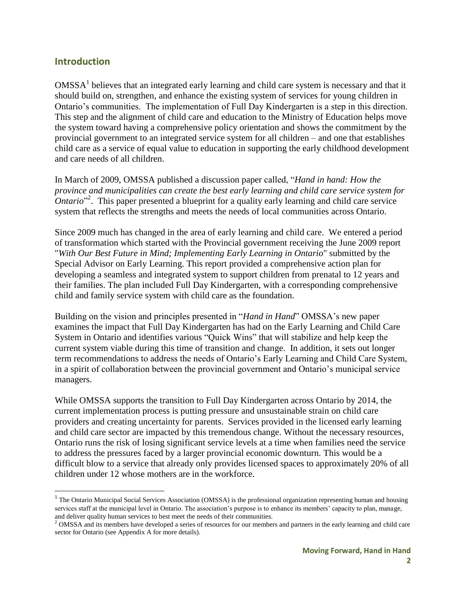#### **Introduction**

 $\overline{a}$ 

OMSSA<sup>1</sup> believes that an integrated early learning and child care system is necessary and that it should build on, strengthen, and enhance the existing system of services for young children in Ontario's communities. The implementation of Full Day Kindergarten is a step in this direction. This step and the alignment of child care and education to the Ministry of Education helps move the system toward having a comprehensive policy orientation and shows the commitment by the provincial government to an integrated service system for all children – and one that establishes child care as a service of equal value to education in supporting the early childhood development and care needs of all children.

In March of 2009, OMSSA published a discussion paper called, "*Hand in hand: How the province and municipalities can create the best early learning and child care service system for Ontario*<sup>2</sup>. This paper presented a blueprint for a quality early learning and child care service system that reflects the strengths and meets the needs of local communities across Ontario.

Since 2009 much has changed in the area of early learning and child care. We entered a period of transformation which started with the Provincial government receiving the June 2009 report "*With Our Best Future in Mind; Implementing Early Learning in Ontario*" submitted by the Special Advisor on Early Learning. This report provided a comprehensive action plan for developing a seamless and integrated system to support children from prenatal to 12 years and their families. The plan included Full Day Kindergarten, with a corresponding comprehensive child and family service system with child care as the foundation.

Building on the vision and principles presented in "*Hand in Hand*" OMSSA's new paper examines the impact that Full Day Kindergarten has had on the Early Learning and Child Care System in Ontario and identifies various "Quick Wins" that will stabilize and help keep the current system viable during this time of transition and change. In addition, it sets out longer term recommendations to address the needs of Ontario's Early Learning and Child Care System, in a spirit of collaboration between the provincial government and Ontario's municipal service managers.

While OMSSA supports the transition to Full Day Kindergarten across Ontario by 2014, the current implementation process is putting pressure and unsustainable strain on child care providers and creating uncertainty for parents. Services provided in the licensed early learning and child care sector are impacted by this tremendous change. Without the necessary resources, Ontario runs the risk of losing significant service levels at a time when families need the service to address the pressures faced by a larger provincial economic downturn. This would be a difficult blow to a service that already only provides licensed spaces to approximately 20% of all children under 12 whose mothers are in the workforce.

<sup>&</sup>lt;sup>1</sup> The Ontario Municipal Social Services Association (OMSSA) is the professional organization representing human and housing services staff at the municipal level in Ontario. The association's purpose is to enhance its members' capacity to plan, manage, and deliver quality human services to best meet the needs of their communities.

<sup>&</sup>lt;sup>2</sup> OMSSA and its members have developed a series of resources for our members and partners in the early learning and child care sector for Ontario (see Appendix A for more details).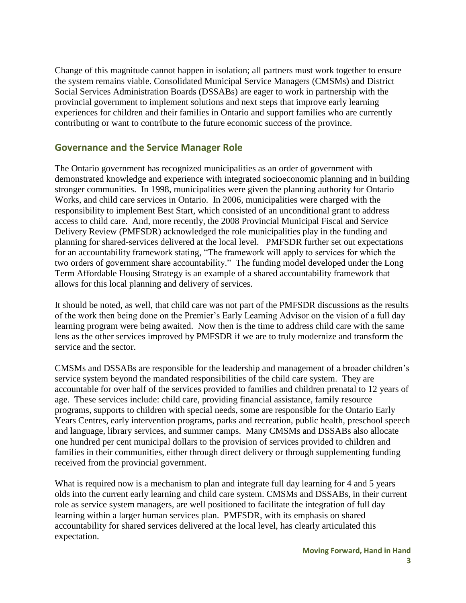Change of this magnitude cannot happen in isolation; all partners must work together to ensure the system remains viable. Consolidated Municipal Service Managers (CMSMs) and District Social Services Administration Boards (DSSABs) are eager to work in partnership with the provincial government to implement solutions and next steps that improve early learning experiences for children and their families in Ontario and support families who are currently contributing or want to contribute to the future economic success of the province.

#### **Governance and the Service Manager Role**

The Ontario government has recognized municipalities as an order of government with demonstrated knowledge and experience with integrated socioeconomic planning and in building stronger communities. In 1998, municipalities were given the planning authority for Ontario Works, and child care services in Ontario. In 2006, municipalities were charged with the responsibility to implement Best Start, which consisted of an unconditional grant to address access to child care. And, more recently, the 2008 Provincial Municipal Fiscal and Service Delivery Review (PMFSDR) acknowledged the role municipalities play in the funding and planning for shared-services delivered at the local level. PMFSDR further set out expectations for an accountability framework stating, "The framework will apply to services for which the two orders of government share accountability." The funding model developed under the Long Term Affordable Housing Strategy is an example of a shared accountability framework that allows for this local planning and delivery of services.

It should be noted, as well, that child care was not part of the PMFSDR discussions as the results of the work then being done on the Premier's Early Learning Advisor on the vision of a full day learning program were being awaited. Now then is the time to address child care with the same lens as the other services improved by PMFSDR if we are to truly modernize and transform the service and the sector.

CMSMs and DSSABs are responsible for the leadership and management of a broader children's service system beyond the mandated responsibilities of the child care system. They are accountable for over half of the services provided to families and children prenatal to 12 years of age. These services include: child care, providing financial assistance, family resource programs, supports to children with special needs, some are responsible for the Ontario Early Years Centres, early intervention programs, parks and recreation, public health, preschool speech and language, library services, and summer camps. Many CMSMs and DSSABs also allocate one hundred per cent municipal dollars to the provision of services provided to children and families in their communities, either through direct delivery or through supplementing funding received from the provincial government.

What is required now is a mechanism to plan and integrate full day learning for 4 and 5 years olds into the current early learning and child care system. CMSMs and DSSABs, in their current role as service system managers, are well positioned to facilitate the integration of full day learning within a larger human services plan. PMFSDR, with its emphasis on shared accountability for shared services delivered at the local level, has clearly articulated this expectation.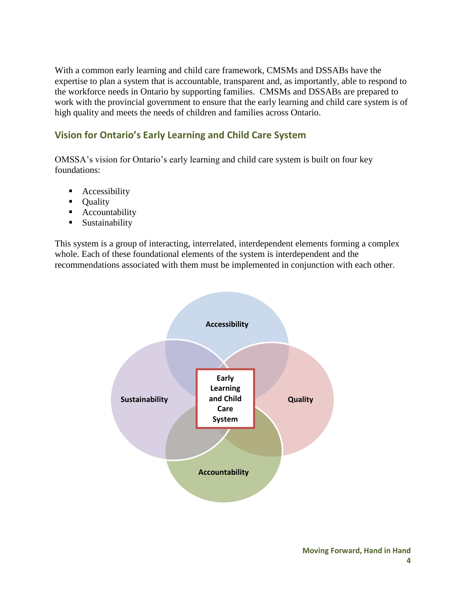With a common early learning and child care framework, CMSMs and DSSABs have the expertise to plan a system that is accountable, transparent and, as importantly, able to respond to the workforce needs in Ontario by supporting families. CMSMs and DSSABs are prepared to work with the provincial government to ensure that the early learning and child care system is of high quality and meets the needs of children and families across Ontario.

### **Vision for Ontario's Early Learning and Child Care System**

OMSSA's vision for Ontario's early learning and child care system is built on four key foundations:

- **Accessibility**
- Quality
- **Accountability**
- **Sustainability**

This system is a group of interacting, interrelated, interdependent elements forming a complex whole. Each of these foundational elements of the system is interdependent and the recommendations associated with them must be implemented in conjunction with each other.

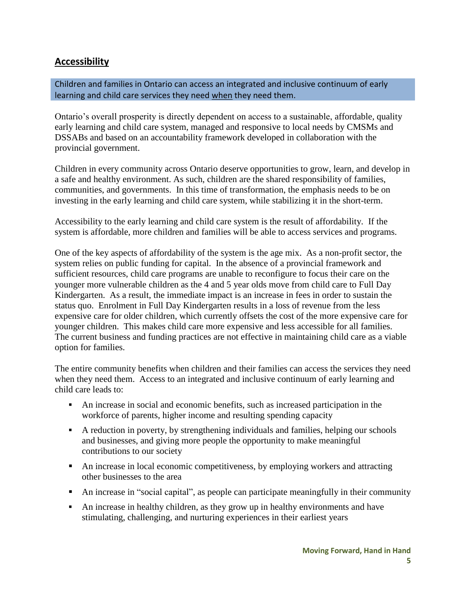## **Accessibility**

Children and families in Ontario can access an integrated and inclusive continuum of early learning and child care services they need when they need them.

Ontario's overall prosperity is directly dependent on access to a sustainable, affordable, quality early learning and child care system, managed and responsive to local needs by CMSMs and DSSABs and based on an accountability framework developed in collaboration with the provincial government.

Children in every community across Ontario deserve opportunities to grow, learn, and develop in a safe and healthy environment. As such, children are the shared responsibility of families, communities, and governments. In this time of transformation, the emphasis needs to be on investing in the early learning and child care system, while stabilizing it in the short-term.

Accessibility to the early learning and child care system is the result of affordability. If the system is affordable, more children and families will be able to access services and programs.

One of the key aspects of affordability of the system is the age mix. As a non-profit sector, the system relies on public funding for capital. In the absence of a provincial framework and sufficient resources, child care programs are unable to reconfigure to focus their care on the younger more vulnerable children as the 4 and 5 year olds move from child care to Full Day Kindergarten. As a result, the immediate impact is an increase in fees in order to sustain the status quo. Enrolment in Full Day Kindergarten results in a loss of revenue from the less expensive care for older children, which currently offsets the cost of the more expensive care for younger children. This makes child care more expensive and less accessible for all families. The current business and funding practices are not effective in maintaining child care as a viable option for families.

The entire community benefits when children and their families can access the services they need when they need them. Access to an integrated and inclusive continuum of early learning and child care leads to:

- An increase in social and economic benefits, such as increased participation in the workforce of parents, higher income and resulting spending capacity
- A reduction in poverty, by strengthening individuals and families, helping our schools and businesses, and giving more people the opportunity to make meaningful contributions to our society
- An increase in local economic competitiveness, by employing workers and attracting other businesses to the area
- An increase in "social capital", as people can participate meaningfully in their community
- An increase in healthy children, as they grow up in healthy environments and have stimulating, challenging, and nurturing experiences in their earliest years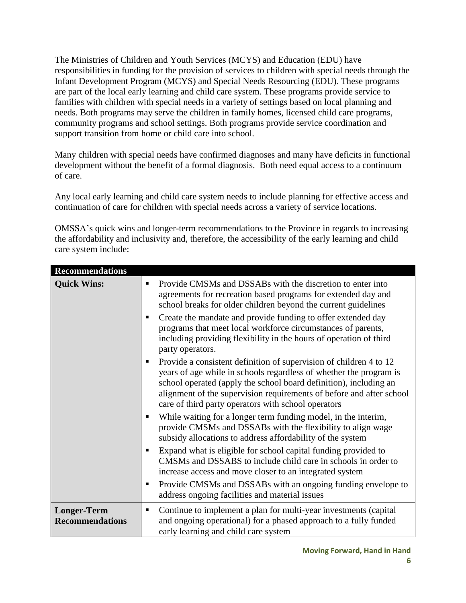The Ministries of Children and Youth Services (MCYS) and Education (EDU) have responsibilities in funding for the provision of services to children with special needs through the Infant Development Program (MCYS) and Special Needs Resourcing (EDU). These programs are part of the local early learning and child care system. These programs provide service to families with children with special needs in a variety of settings based on local planning and needs. Both programs may serve the children in family homes, licensed child care programs, community programs and school settings. Both programs provide service coordination and support transition from home or child care into school.

Many children with special needs have confirmed diagnoses and many have deficits in functional development without the benefit of a formal diagnosis. Both need equal access to a continuum of care.

Any local early learning and child care system needs to include planning for effective access and continuation of care for children with special needs across a variety of service locations.

OMSSA's quick wins and longer-term recommendations to the Province in regards to increasing the affordability and inclusivity and, therefore, the accessibility of the early learning and child care system include:

| <b>Recommendations</b>                       |                                                                                                                                                                                                                                                                                                                                              |
|----------------------------------------------|----------------------------------------------------------------------------------------------------------------------------------------------------------------------------------------------------------------------------------------------------------------------------------------------------------------------------------------------|
| <b>Quick Wins:</b>                           | Provide CMSMs and DSSABs with the discretion to enter into<br>п<br>agreements for recreation based programs for extended day and<br>school breaks for older children beyond the current guidelines                                                                                                                                           |
|                                              | Create the mandate and provide funding to offer extended day<br>programs that meet local workforce circumstances of parents,<br>including providing flexibility in the hours of operation of third<br>party operators.                                                                                                                       |
|                                              | Provide a consistent definition of supervision of children 4 to 12<br>years of age while in schools regardless of whether the program is<br>school operated (apply the school board definition), including an<br>alignment of the supervision requirements of before and after school<br>care of third party operators with school operators |
|                                              | While waiting for a longer term funding model, in the interim,<br>٠<br>provide CMSMs and DSSABs with the flexibility to align wage<br>subsidy allocations to address affordability of the system                                                                                                                                             |
|                                              | Expand what is eligible for school capital funding provided to<br>CMSMs and DSSABS to include child care in schools in order to<br>increase access and move closer to an integrated system                                                                                                                                                   |
|                                              | Provide CMSMs and DSSABs with an ongoing funding envelope to<br>п<br>address ongoing facilities and material issues                                                                                                                                                                                                                          |
| <b>Longer-Term</b><br><b>Recommendations</b> | Continue to implement a plan for multi-year investments (capital<br>٠<br>and ongoing operational) for a phased approach to a fully funded<br>early learning and child care system                                                                                                                                                            |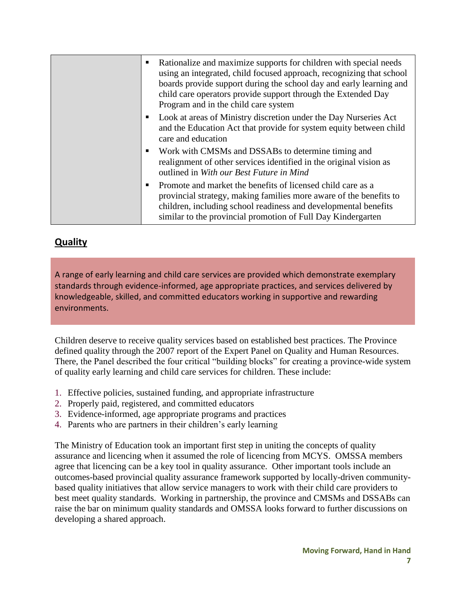|  | Rationalize and maximize supports for children with special needs<br>using an integrated, child focused approach, recognizing that school<br>boards provide support during the school day and early learning and<br>child care operators provide support through the Extended Day<br>Program and in the child care system |
|--|---------------------------------------------------------------------------------------------------------------------------------------------------------------------------------------------------------------------------------------------------------------------------------------------------------------------------|
|  | Look at areas of Ministry discretion under the Day Nurseries Act<br>and the Education Act that provide for system equity between child<br>care and education                                                                                                                                                              |
|  | Work with CMSMs and DSSABs to determine timing and<br>realignment of other services identified in the original vision as<br>outlined in With our Best Future in Mind                                                                                                                                                      |
|  | Promote and market the benefits of licensed child care as a<br>provincial strategy, making families more aware of the benefits to<br>children, including school readiness and developmental benefits<br>similar to the provincial promotion of Full Day Kindergarten                                                      |

## **Quality**

A range of early learning and child care services are provided which demonstrate exemplary standards through evidence-informed, age appropriate practices, and services delivered by knowledgeable, skilled, and committed educators working in supportive and rewarding environments.

Children deserve to receive quality services based on established best practices. The Province defined quality through the 2007 report of the Expert Panel on Quality and Human Resources. There, the Panel described the four critical "building blocks" for creating a province-wide system of quality early learning and child care services for children. These include:

- 1. Effective policies, sustained funding, and appropriate infrastructure
- 2. Properly paid, registered, and committed educators
- 3. Evidence-informed, age appropriate programs and practices
- 4. Parents who are partners in their children's early learning

The Ministry of Education took an important first step in uniting the concepts of quality assurance and licencing when it assumed the role of licencing from MCYS. OMSSA members agree that licencing can be a key tool in quality assurance. Other important tools include an outcomes-based provincial quality assurance framework supported by locally-driven communitybased quality initiatives that allow service managers to work with their child care providers to best meet quality standards. Working in partnership, the province and CMSMs and DSSABs can raise the bar on minimum quality standards and OMSSA looks forward to further discussions on developing a shared approach.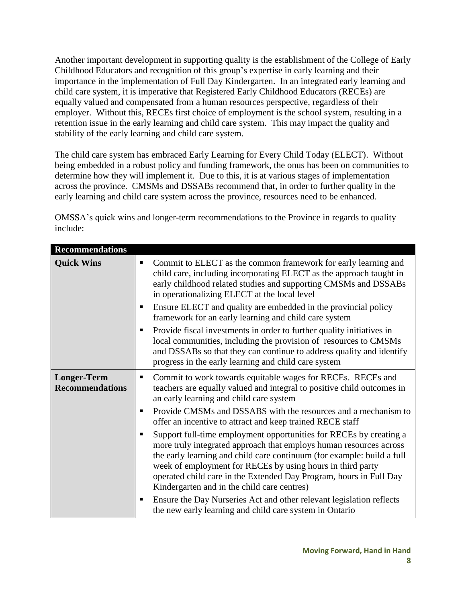Another important development in supporting quality is the establishment of the College of Early Childhood Educators and recognition of this group's expertise in early learning and their importance in the implementation of Full Day Kindergarten. In an integrated early learning and child care system, it is imperative that Registered Early Childhood Educators (RECEs) are equally valued and compensated from a human resources perspective, regardless of their employer. Without this, RECEs first choice of employment is the school system, resulting in a retention issue in the early learning and child care system. This may impact the quality and stability of the early learning and child care system.

The child care system has embraced Early Learning for Every Child Today (ELECT). Without being embedded in a robust policy and funding framework, the onus has been on communities to determine how they will implement it. Due to this, it is at various stages of implementation across the province. CMSMs and DSSABs recommend that, in order to further quality in the early learning and child care system across the province, resources need to be enhanced.

OMSSA's quick wins and longer-term recommendations to the Province in regards to quality include:

| <b>Recommendations</b>                       |                                                                                                                                                                                                                                                                                                                                                                                                                                                                                                                                                                                                                                                                                                                                                                                                                                                                                 |
|----------------------------------------------|---------------------------------------------------------------------------------------------------------------------------------------------------------------------------------------------------------------------------------------------------------------------------------------------------------------------------------------------------------------------------------------------------------------------------------------------------------------------------------------------------------------------------------------------------------------------------------------------------------------------------------------------------------------------------------------------------------------------------------------------------------------------------------------------------------------------------------------------------------------------------------|
| <b>Quick Wins</b>                            | Commit to ELECT as the common framework for early learning and<br>٠<br>child care, including incorporating ELECT as the approach taught in<br>early childhood related studies and supporting CMSMs and DSSABs<br>in operationalizing ELECT at the local level<br>Ensure ELECT and quality are embedded in the provincial policy<br>п<br>framework for an early learning and child care system<br>Provide fiscal investments in order to further quality initiatives in<br>п<br>local communities, including the provision of resources to CMSMs<br>and DSSABs so that they can continue to address quality and identify<br>progress in the early learning and child care system                                                                                                                                                                                                 |
| <b>Longer-Term</b><br><b>Recommendations</b> | Commit to work towards equitable wages for RECEs. RECEs and<br>٠<br>teachers are equally valued and integral to positive child outcomes in<br>an early learning and child care system<br>Provide CMSMs and DSSABS with the resources and a mechanism to<br>п<br>offer an incentive to attract and keep trained RECE staff<br>Support full-time employment opportunities for RECEs by creating a<br>п<br>more truly integrated approach that employs human resources across<br>the early learning and child care continuum (for example: build a full<br>week of employment for RECEs by using hours in third party<br>operated child care in the Extended Day Program, hours in Full Day<br>Kindergarten and in the child care centres)<br>Ensure the Day Nurseries Act and other relevant legislation reflects<br>п<br>the new early learning and child care system in Ontario |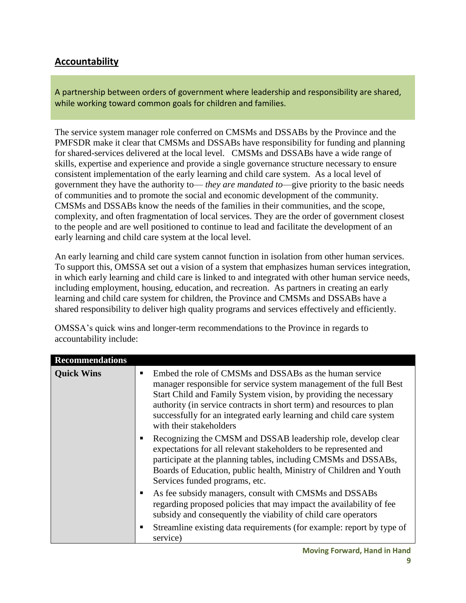# **Accountability**

A partnership between orders of government where leadership and responsibility are shared, while working toward common goals for children and families.

The service system manager role conferred on CMSMs and DSSABs by the Province and the PMFSDR make it clear that CMSMs and DSSABs have responsibility for funding and planning for shared-services delivered at the local level. CMSMs and DSSABs have a wide range of skills, expertise and experience and provide a single governance structure necessary to ensure consistent implementation of the early learning and child care system. As a local level of government they have the authority to— *they are mandated to*—give priority to the basic needs of communities and to promote the social and economic development of the community. CMSMs and DSSABs know the needs of the families in their communities, and the scope, complexity, and often fragmentation of local services. They are the order of government closest to the people and are well positioned to continue to lead and facilitate the development of an early learning and child care system at the local level.

An early learning and child care system cannot function in isolation from other human services. To support this, OMSSA set out a vision of a system that emphasizes human services integration, in which early learning and child care is linked to and integrated with other human service needs, including employment, housing, education, and recreation. As partners in creating an early learning and child care system for children, the Province and CMSMs and DSSABs have a shared responsibility to deliver high quality programs and services effectively and efficiently.

OMSSA's quick wins and longer-term recommendations to the Province in regards to accountability include:

| <b>Recommendations</b> |                                                                                                                                                                                                                                                                                                                                                                                  |
|------------------------|----------------------------------------------------------------------------------------------------------------------------------------------------------------------------------------------------------------------------------------------------------------------------------------------------------------------------------------------------------------------------------|
| <b>Quick Wins</b>      | Embed the role of CMSMs and DSSABs as the human service<br>п<br>manager responsible for service system management of the full Best<br>Start Child and Family System vision, by providing the necessary<br>authority (in service contracts in short term) and resources to plan<br>successfully for an integrated early learning and child care system<br>with their stakeholders |
|                        | Recognizing the CMSM and DSSAB leadership role, develop clear<br>п<br>expectations for all relevant stakeholders to be represented and<br>participate at the planning tables, including CMSMs and DSSABs,<br>Boards of Education, public health, Ministry of Children and Youth<br>Services funded programs, etc.                                                                |
|                        | As fee subsidy managers, consult with CMSMs and DSSABs<br>п<br>regarding proposed policies that may impact the availability of fee<br>subsidy and consequently the viability of child care operators                                                                                                                                                                             |
|                        | Streamline existing data requirements (for example: report by type of<br>п<br>service)                                                                                                                                                                                                                                                                                           |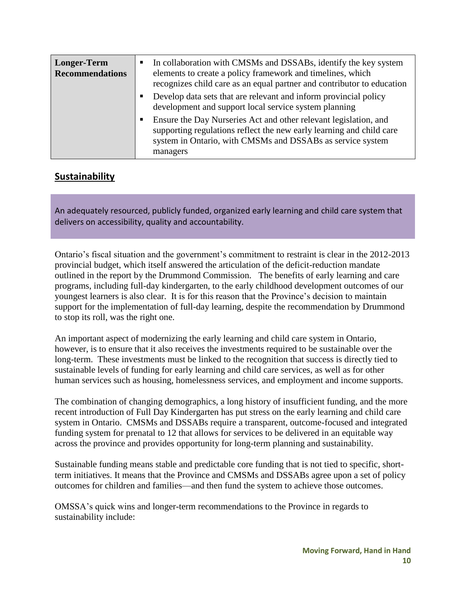| <b>Longer-Term</b><br><b>Recommendations</b> |   | In collaboration with CMSMs and DSSABs, identify the key system<br>elements to create a policy framework and timelines, which<br>recognizes child care as an equal partner and contributor to education            |
|----------------------------------------------|---|--------------------------------------------------------------------------------------------------------------------------------------------------------------------------------------------------------------------|
|                                              | п | Develop data sets that are relevant and inform provincial policy<br>development and support local service system planning                                                                                          |
|                                              | п | Ensure the Day Nurseries Act and other relevant legislation, and<br>supporting regulations reflect the new early learning and child care<br>system in Ontario, with CMSMs and DSSABs as service system<br>managers |

#### **Sustainability**

An adequately resourced, publicly funded, organized early learning and child care system that delivers on accessibility, quality and accountability.

Ontario's fiscal situation and the government's commitment to restraint is clear in the 2012-2013 provincial budget, which itself answered the articulation of the deficit-reduction mandate outlined in the report by the Drummond Commission. The benefits of early learning and care programs, including full-day kindergarten, to the early childhood development outcomes of our youngest learners is also clear. It is for this reason that the Province's decision to maintain support for the implementation of full-day learning, despite the recommendation by Drummond to stop its roll, was the right one.

An important aspect of modernizing the early learning and child care system in Ontario, however, is to ensure that it also receives the investments required to be sustainable over the long-term. These investments must be linked to the recognition that success is directly tied to sustainable levels of funding for early learning and child care services, as well as for other human services such as housing, homelessness services, and employment and income supports.

The combination of changing demographics, a long history of insufficient funding, and the more recent introduction of Full Day Kindergarten has put stress on the early learning and child care system in Ontario. CMSMs and DSSABs require a transparent, outcome-focused and integrated funding system for prenatal to 12 that allows for services to be delivered in an equitable way across the province and provides opportunity for long-term planning and sustainability.

Sustainable funding means stable and predictable core funding that is not tied to specific, shortterm initiatives. It means that the Province and CMSMs and DSSABs agree upon a set of policy outcomes for children and families—and then fund the system to achieve those outcomes.

OMSSA's quick wins and longer-term recommendations to the Province in regards to sustainability include: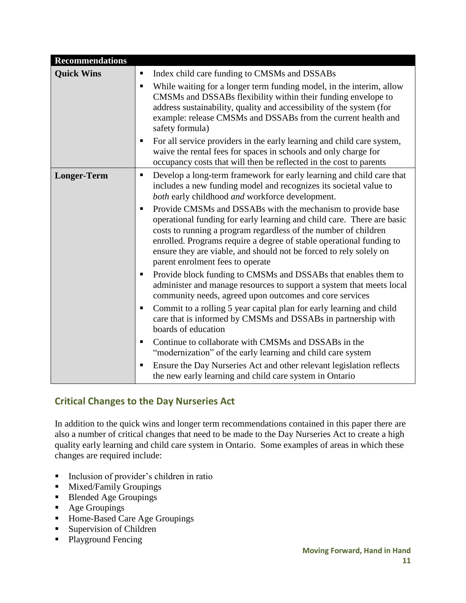| <b>Recommendations</b> |                                                                                                                                                                                                                                                                                                                                                                                                                                                                                                                                                                                                                                                                                                                                                                                                                                                                                                                                                                                                                                                                                                                                                                                                                                                                                                                               |
|------------------------|-------------------------------------------------------------------------------------------------------------------------------------------------------------------------------------------------------------------------------------------------------------------------------------------------------------------------------------------------------------------------------------------------------------------------------------------------------------------------------------------------------------------------------------------------------------------------------------------------------------------------------------------------------------------------------------------------------------------------------------------------------------------------------------------------------------------------------------------------------------------------------------------------------------------------------------------------------------------------------------------------------------------------------------------------------------------------------------------------------------------------------------------------------------------------------------------------------------------------------------------------------------------------------------------------------------------------------|
| <b>Quick Wins</b>      | Index child care funding to CMSMs and DSSABs<br>٠<br>While waiting for a longer term funding model, in the interim, allow<br>п<br>CMSMs and DSSABs flexibility within their funding envelope to<br>address sustainability, quality and accessibility of the system (for<br>example: release CMSMs and DSSABs from the current health and<br>safety formula)<br>For all service providers in the early learning and child care system,<br>٠<br>waive the rental fees for spaces in schools and only charge for                                                                                                                                                                                                                                                                                                                                                                                                                                                                                                                                                                                                                                                                                                                                                                                                                 |
| <b>Longer-Term</b>     | occupancy costs that will then be reflected in the cost to parents<br>Develop a long-term framework for early learning and child care that<br>٠<br>includes a new funding model and recognizes its societal value to<br>both early childhood and workforce development.<br>Provide CMSMs and DSSABs with the mechanism to provide base<br>п<br>operational funding for early learning and child care. There are basic<br>costs to running a program regardless of the number of children<br>enrolled. Programs require a degree of stable operational funding to<br>ensure they are viable, and should not be forced to rely solely on<br>parent enrolment fees to operate<br>Provide block funding to CMSMs and DSSABs that enables them to<br>п<br>administer and manage resources to support a system that meets local<br>community needs, agreed upon outcomes and core services<br>Commit to a rolling 5 year capital plan for early learning and child<br>п<br>care that is informed by CMSMs and DSSABs in partnership with<br>boards of education<br>Continue to collaborate with CMSMs and DSSABs in the<br>٠<br>"modernization" of the early learning and child care system<br>Ensure the Day Nurseries Act and other relevant legislation reflects<br>п<br>the new early learning and child care system in Ontario |

## **Critical Changes to the Day Nurseries Act**

In addition to the quick wins and longer term recommendations contained in this paper there are also a number of critical changes that need to be made to the Day Nurseries Act to create a high quality early learning and child care system in Ontario. Some examples of areas in which these changes are required include:

- Inclusion of provider's children in ratio
- **Mixed/Family Groupings**
- Blended Age Groupings
- Age Groupings
- Home-Based Care Age Groupings
- Supervision of Children
- Playground Fencing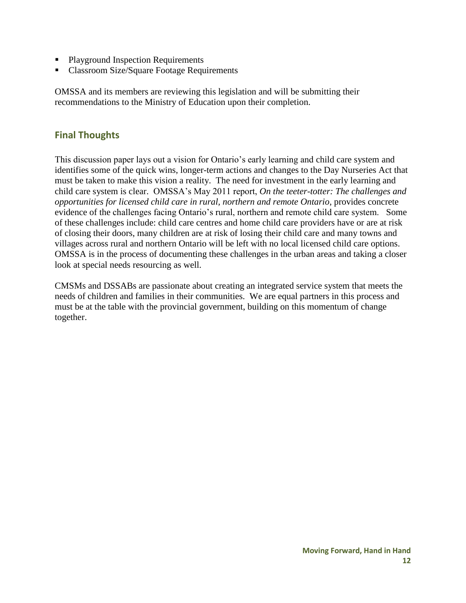- Playground Inspection Requirements
- Classroom Size/Square Footage Requirements

OMSSA and its members are reviewing this legislation and will be submitting their recommendations to the Ministry of Education upon their completion.

#### **Final Thoughts**

This discussion paper lays out a vision for Ontario's early learning and child care system and identifies some of the quick wins, longer-term actions and changes to the Day Nurseries Act that must be taken to make this vision a reality. The need for investment in the early learning and child care system is clear. OMSSA's May 2011 report, *On the teeter-totter: The challenges and opportunities for licensed child care in rural, northern and remote Ontario*, provides concrete evidence of the challenges facing Ontario's rural, northern and remote child care system. Some of these challenges include: child care centres and home child care providers have or are at risk of closing their doors, many children are at risk of losing their child care and many towns and villages across rural and northern Ontario will be left with no local licensed child care options. OMSSA is in the process of documenting these challenges in the urban areas and taking a closer look at special needs resourcing as well.

CMSMs and DSSABs are passionate about creating an integrated service system that meets the needs of children and families in their communities. We are equal partners in this process and must be at the table with the provincial government, building on this momentum of change together.